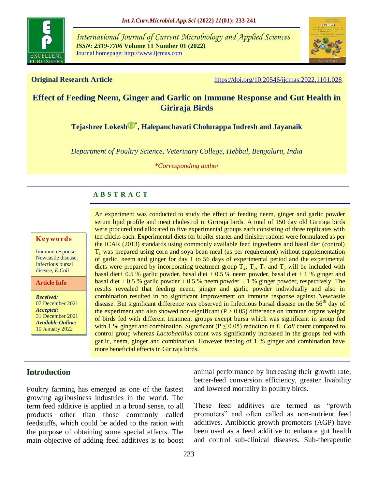

*International Journal of Current Microbiology and Applied Sciences ISSN: 2319-7706* **Volume 11 Number 01 (2022)**  Journal homepage: http://www.ijcmas.com



**Original Research Article** <https://doi.org/10.20546/ijcmas.2022.1101.028>

## **Effect of Feeding Neem, Ginger and Garlic on Immune Response and Gut Health in Giriraja Birds**

**[Tejashree Lokesh](https://orcid.org/0000-0002-2303-5375) [\\*](https://orcid.org/0000-0002-2303-5375) , Halepanchavati Cholurappa Indresh and Jayanaik**

*Department of Poultry Science, Veterinary College, Hebbal, Bengaluru, India*

*\*Corresponding author*

#### **A B S T R A C T**

#### **K ey w o rd s**

Immune response, Newcastle disease, Infectious bursal disease, *E.Coli*

**Article Info**

*Received:*  07 December 2021 *Accepted:*  31 December 2021 *Available Online:* 10 January 2022

An experiment was conducted to study the effect of feeding neem, ginger and garlic powder serum lipid profile and meat cholestrol in Giriraja birds. A total of 150 day old Giriraja birds were procured and allocated to five experimental groups each consisting of three replicates with ten chicks each. Experimental diets for broiler starter and finisher rations were formulated as per the ICAR (2013) standards using commonly available feed ingredients and basal diet (control)  $T_1$  was prepared using corn and soya-bean meal (as per requirement) without supplementation of garlic, neem and ginger for day 1 to 56 days of experimental period and the experimental diets were prepared by incorporating treatment group  $T_2$ ,  $T_3$ ,  $T_4$  and  $T_5$  will be included with basal diet + 0.5 % garlic powder, basal diet + 0.5 % neem powder, basal diet + 1 % ginger and basal diet  $+ 0.5$  % garlic powder  $+ 0.5$  % neem powder  $+ 1$  % ginger powder, respectively. The results revealed that feeding neem, ginger and garlic powder individually and also in combination resulted in no significant improvement on immune response against Newcastle disease. But significant difference was observed in Infectious bursal disease on the 56<sup>th</sup> day of the experiment and also showed non-significant  $(P > 0.05)$  difference on immune organs weight of birds fed with different treatment groups except bursa which was significant in group fed with 1 % ginger and combination. Significant ( $P \le 0.05$ ) reduction in *E. Coli* count compared to control group whereas *Lactobacillus* count was significantly increased in the groups fed with garlic, neem, ginger and combination. However feeding of 1 % ginger and combination have more beneficial effects in Giriraja birds.

## **Introduction**

Poultry farming has emerged as one of the fastest growing agribusiness industries in the world. The term feed additive is applied in a broad sense, to all products other than those commonly called feedstuffs, which could be added to the ration with the purpose of obtaining some special effects. The main objective of adding feed additives is to boost

animal performance by increasing their growth rate, better-feed conversion efficiency, greater livability and lowered mortality in poultry birds.

These feed additives are termed as "growth promoters" and often called as non-nutrient feed additives. Antibiotic growth promoters (AGP) have been used as a feed additive to enhance gut health and control sub-clinical diseases. Sub-therapeutic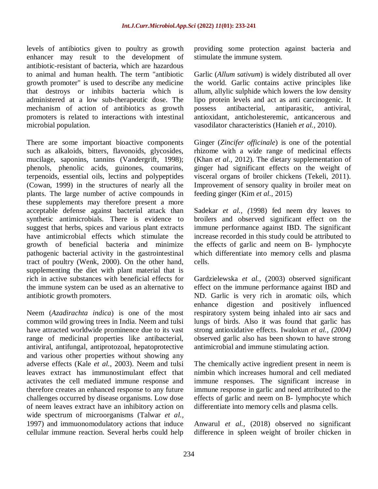levels of antibiotics given to poultry as growth enhancer may result to the development of antibiotic-resistant of bacteria, which are hazardous to animal and human health. The term "antibiotic growth promoter" is used to describe any medicine that destroys or inhibits bacteria which is administered at a low sub-therapeutic dose. The mechanism of action of antibiotics as growth promoters is related to interactions with intestinal microbial population.

There are some important bioactive components such as alkaloids, bitters, flavonoids, glycosides, mucilage, saponins, tannins (Vandergrift, 1998); phenols, phenolic acids, guinones, coumarins, terpenoids, essential oils, lectins and polypeptides (Cowan, 1999) in the structures of nearly all the plants. The large number of active compounds in these supplements may therefore present a more acceptable defense against bacterial attack than synthetic antimicrobials. There is evidence to suggest that herbs, spices and various plant extracts have antimicrobial effects which stimulate the growth of beneficial bacteria and minimize pathogenic bacterial activity in the gastrointestinal tract of poultry (Wenk, 2000). On the other hand, supplementing the diet with plant material that is rich in active substances with beneficial effects for the immune system can be used as an alternative to antibiotic growth promoters.

Neem (*Azadirachta indica*) is one of the most common wild growing trees in India. Neem and tulsi have attracted worldwide prominence due to its vast range of medicinal properties like antibacterial, antiviral, antifungal, antiprotozoal, hepatoprotective and various other properties without showing any adverse effects (Kale *et al.,* 2003). Neem and tulsi leaves extract has immunostimulant effect that activates the cell mediated immune response and therefore creates an enhanced response to any future challenges occurred by disease organisms. Low dose of neem leaves extract have an inhibitory action on wide spectrum of microorganisms (Talwar *et al.,* 1997) and immuonomodulatory actions that induce cellular immune reaction. Several herbs could help

providing some protection against bacteria and stimulate the immune system.

Garlic (*Allum sativum*) is widely distributed all over the world. Garlic contains active principles like allum, allylic sulphide which lowers the low density lipo protein levels and act as anti carcinogenic. It possess antibacterial, antiparasitic, antiviral, antioxidant, anticholesteremic, anticancerous and vasodilator characteristics (Hanieh *et al.,* 2010).

Ginger (*Zincifer officinale*) is one of the potential rhizome with a wide range of medicinal effects (Khan *et al.,* 2012). The dietary supplementation of ginger had significant effects on the weight of visceral organs of broiler chickens (Tekeli, 2011). Improvement of sensory quality in broiler meat on feeding ginger (Kim *et al.,* 2015)

Sadekar *et al., (*1998) fed neem dry leaves to broilers and observed significant effect on the immune performance against IBD. The significant increase recorded in this study could be attributed to the effects of garlic and neem on B- lymphocyte which differentiate into memory cells and plasma cells.

Gardzielewska *et al.,* (2003) observed significant effect on the immune performance against IBD and ND. Garlic is very rich in aromatic oils, which enhance digestion and positively influenced respiratory system being inhaled into air sacs and lungs of birds. Also it was found that garlic has strong antioxidative effects. Iwalokun *et al., (2004)*  observed garlic also has been shown to have strong antimicrobial and immune stimulating action.

The chemically active ingredient present in neem is nimbin which increases humoral and cell mediated immune responses. The significant increase in immune response in garlic and need attributed to the effects of garlic and neem on B- lymphocyte which differentiate into memory cells and plasma cells.

Anwarul *et al.,* (2018) observed no significant difference in spleen weight of broiler chicken in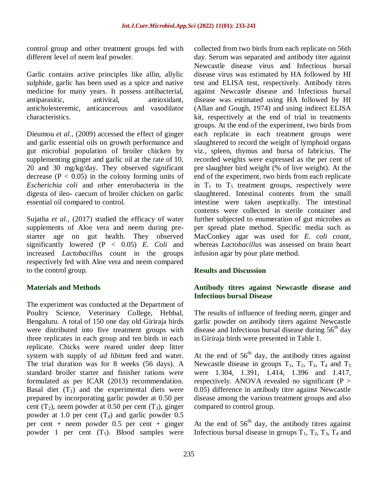control group and other treatment groups fed with different level of neem leaf powder.

Garlic contains active principles like allin, allylic sulphide, garlic has been used as a spice and native medicine for many years. It possess antibacterial, antiparasitic, antiviral, antioxidant, anticholesteremic, anticancerous and vasodilator characteristics.

Dieumou *et al.,* (2009) accessed the effect of ginger and garlic essential oils on growth performance and gut microbial population of broiler chicken by supplementing ginger and garlic oil at the rate of 10, 20 and 30 mg/kg/day. They observed significant decrease ( $P < 0.05$ ) in the colony forming units of *Escherichia coli* and other enterobacteria in the digesta of ileo- caecum of broiler chicken on garlic essential oil compared to control.

Sujatha *et al.,* (2017) studied the efficacy of water supplements of Aloe vera and neem during prestarter age on gut health. They observed significantly lowered (P < 0.05) *E. Coli* and increased *Lactobacillus* count in the groups respectively fed with Aloe vera and neem compared to the control group.

### **Materials and Methods**

The experiment was conducted at the Department of Poultry Science, Veterinary College, Hebbal, Bengaluru. A total of 150 one day old Giriraja birds were distributed into five treatment groups with three replicates in each group and ten birds in each replicate. Chicks were reared under deep litter system with supply of *ad libitum* feed and water. The trial duration was for 8 weeks (56 days). A standard broiler starter and finisher rations were formulated as per ICAR (2013) recommendation. Basal diet  $(T_1)$  and the experimental diets were prepared by incorporating garlic powder at 0.50 per cent  $(T_2)$ , neem powder at 0.50 per cent  $(T_3)$ , ginger powder at 1.0 per cent  $(T_4)$  and garlic powder 0.5 per cent + neem powder 0.5 per cent + ginger powder 1 per cent  $(T_5)$ . Blood samples were

collected from two birds from each replicate on 56th day. Serum was separated and antibody titer against Newcastle disease virus and Infectious bursal disease virus was estimated by HA followed by HI test and ELISA test, respectively. Antibody titres against Newcastle disease and Infectious bursal disease was estimated using HA followed by HI (Allan and Gough, 1974) and using indirect ELISA kit, respectively at the end of trial in treatments groups. At the end of the experiment, two birds from each replicate in each treatment groups were slaughtered to record the weight of lymphoid organs viz., spleen, thymus and bursa of fabricius. The recorded weights were expressed as the per cent of pre slaughter bird weight (% of live weight). At the end of the experiment, two birds from each replicate in  $T_1$  to  $T_5$  treatment groups, respectively were slaughtered. Intestinal contents from the small intestine were taken aseptically. The intestinal contents were collected in sterile container and further subjected to enumeration of gut microbes as per spread plate method. Specific media such as MacConkey agar was used for *E. coli* count, whereas *Lactobacillus* was assessed on brain heart infusion agar by pour plate method.

### **Results and Discussion**

### **Antibody titres against Newcastle disease and Infectious bursal Disease**

The results of influence of feeding neem, ginger and garlic powder on antibody titers against Newcastle disease and Infectious bursal disease during  $56<sup>th</sup>$  day in Giriraja birds were presented in Table 1.

At the end of  $56<sup>th</sup>$  day, the antibody titres against Newcastle disease in groups  $T_1$ ,  $T_2$ ,  $T_3$ ,  $T_4$  and  $T_5$ were 1.304, 1.391, 1.414, 1.396 and 1.417, respectively. ANOVA revealed no significant  $(P >$ 0.05) difference in antibody titre against Newcastle disease among the various treatment groups and also compared to control group.

At the end of  $56<sup>th</sup>$  day, the antibody titres against Infectious bursal disease in groups  $T_1$ ,  $T_2$ ,  $T_3$ ,  $T_4$  and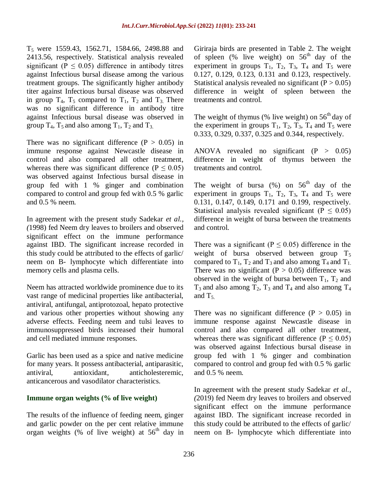T5 were 1559.43, 1562.71, 1584.66, 2498.88 and 2413.56, respectively. Statistical analysis revealed significant ( $P \le 0.05$ ) difference in antibody titres against Infectious bursal disease among the various treatment groups. The significantly higher antibody titer against Infectious bursal disease was observed in group  $T_4$ ,  $T_5$  compared to  $T_1$ ,  $T_2$  and  $T_3$ . There was no significant difference in antibody titre against Infectious bursal disease was observed in group  $T_4$ ,  $T_5$  and also among  $T_1$ ,  $T_2$  and  $T_3$ .

There was no significant difference  $(P > 0.05)$  in immune response against Newcastle disease in control and also compared all other treatment, whereas there was significant difference ( $P \le 0.05$ ) was observed against Infectious bursal disease in group fed with 1 % ginger and combination compared to control and group fed with 0.5 % garlic and 0.5 % neem.

In agreement with the present study Sadekar *et al., (*1998) fed Neem dry leaves to broilers and observed significant effect on the immune performance against IBD. The significant increase recorded in this study could be attributed to the effects of garlic/ neem on B- lymphocyte which differentiate into memory cells and plasma cells.

Neem has attracted worldwide prominence due to its vast range of medicinal properties like antibacterial, antiviral, antifungal, antiprotozoal, hepato protective and various other properties without showing any adverse effects. Feeding neem and tulsi leaves to immunosuppressed birds increased their humoral and cell mediated immune responses.

Garlic has been used as a spice and native medicine for many years. It possess antibacterial, antiparasitic, antiviral, antioxidant, anticholesteremic, anticancerous and vasodilator characteristics.

### **Immune organ weights (% of live weight)**

The results of the influence of feeding neem, ginger and garlic powder on the per cent relative immune organ weights (% of live weight) at  $56<sup>th</sup>$  day in

Giriraja birds are presented in Table 2. The weight of spleen (% live weight) on  $56<sup>th</sup>$  day of the experiment in groups  $T_1$ ,  $T_2$ ,  $T_3$ ,  $T_4$  and  $T_5$  were 0.127, 0.129, 0.123, 0.131 and 0.123, respectively. Statistical analysis revealed no significant  $(P > 0.05)$ difference in weight of spleen between the treatments and control.

The weight of thymus (% live weight) on  $56<sup>th</sup>$  day of the experiment in groups  $T_1$ ,  $T_2$ ,  $T_3$ ,  $T_4$  and  $T_5$  were 0.333, 0.329, 0.337, 0.325 and 0.344, respectively.

ANOVA revealed no significant  $(P > 0.05)$ difference in weight of thymus between the treatments and control.

The weight of bursa  $(\%)$  on 56<sup>th</sup> day of the experiment in groups  $T_1$ ,  $T_2$ ,  $T_3$ ,  $T_4$  and  $T_5$  were 0.131, 0.147, 0.149, 0.171 and 0.199, respectively. Statistical analysis revealed significant ( $P \le 0.05$ ) difference in weight of bursa between the treatments and control.

There was a significant ( $P \le 0.05$ ) difference in the weight of bursa observed between group  $T_5$ compared to  $T_1$ ,  $T_2$  and  $T_3$  and also among  $T_4$  and  $T_1$ . There was no significant ( $P > 0.05$ ) difference was observed in the weight of bursa between  $T_1$ ,  $T_2$  and  $T_3$  and also among  $T_2$ ,  $T_3$  and  $T_4$  and also among  $T_4$ and  $T_5$ .

There was no significant difference  $(P > 0.05)$  in immune response against Newcastle disease in control and also compared all other treatment, whereas there was significant difference ( $P \le 0.05$ ) was observed against Infectious bursal disease in group fed with 1 % ginger and combination compared to control and group fed with 0.5 % garlic and 0.5 % neem.

In agreement with the present study Sadekar *et al., (*2019) fed Neem dry leaves to broilers and observed significant effect on the immune performance against IBD. The significant increase recorded in this study could be attributed to the effects of garlic/ neem on B- lymphocyte which differentiate into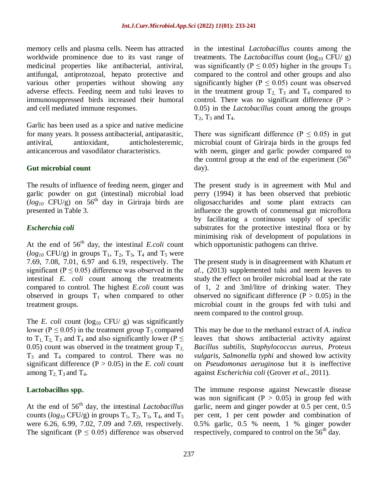memory cells and plasma cells. Neem has attracted worldwide prominence due to its vast range of medicinal properties like antibacterial, antiviral, antifungal, antiprotozoal, hepato protective and various other properties without showing any adverse effects. Feeding neem and tulsi leaves to immunosuppressed birds increased their humoral and cell mediated immune responses.

Garlic has been used as a spice and native medicine for many years. It possess antibacterial, antiparasitic, antiviral, antioxidant, anticholesteremic, anticancerous and vasodilator characteristics.

### **Gut microbial count**

The results of influence of feeding neem, ginger and garlic powder on gut (intestinal) microbial load  $(log_{10}$  CFU/g) on 56<sup>th</sup> day in Giriraja birds are presented in Table 3.

## *Escherchia coli*

At the end of  $56<sup>th</sup>$  day, the intestinal *E.coli* count  $(log_{10}$  CFU/g) in groups  $T_1$ ,  $T_2$ ,  $T_3$ ,  $T_4$  and  $T_5$  were 7.69, 7.08, 7.01, 6.97 and 6.19, respectively. The significant ( $P \le 0.05$ ) difference was observed in the intestinal *E. coli* count among the treatments compared to control. The highest *E.coli* count was observed in groups  $T_1$  when compared to other treatment groups.

The *E. coli* count ( $log_{10}$  CFU/ g) was significantly lower ( $P \le 0.05$ ) in the treatment group T<sub>5</sub> compared to  $T_1$ ,  $T_2$ ,  $T_3$  and  $T_4$  and also significantly lower (P  $\leq$ 0.05) count was observed in the treatment group  $T_2$  $T_3$  and  $T_4$  compared to control. There was no significant difference  $(P > 0.05)$  in the *E. coli* count among  $T_2$ ,  $T_3$  and  $T_4$ .

## **Lactobacillus spp.**

At the end of 56<sup>th</sup> day, the intestinal *Lactobacillus* counts ( $log_{10}$  CFU/g) in groups  $T_1$ ,  $T_2$ ,  $T_3$ ,  $T_4$ , and  $T_5$ were 6.26, 6.99, 7.02, 7.09 and 7.69, respectively. The significant ( $P \le 0.05$ ) difference was observed in the intestinal *Lactobacillus* counts among the treatments. The *Lactobacillus* count  $(\log_{10} CFU/g)$ was significantly ( $P \le 0.05$ ) higher in the groups T<sub>5</sub> compared to the control and other groups and also significantly higher ( $P \le 0.05$ ) count was observed in the treatment group  $T_2$ ,  $T_3$  and  $T_4$  compared to control. There was no significant difference  $(P >$ 0.05) in the *Lactobacillus* count among the groups  $T_2$ ,  $T_3$  and  $T_4$ .

There was significant difference ( $P \le 0.05$ ) in gut microbial count of Giriraja birds in the groups fed with neem, ginger and garlic powder compared to the control group at the end of the experiment  $(56<sup>th</sup>$ day).

The present study is in agreement with Mul and perry (1994) it has been observed that prebiotic oligosaccharides and some plant extracts can influence the growth of commensal gut microflora by facilitating a continuous supply of specific substrates for the protective intestinal flora or by minimising risk of development of populations in which opportunistic pathogens can thrive.

The present study is in disagreement with Khatum *et al.,* (2013) supplemented tulsi and neem leaves to study the effect on broiler microbial load at the rate of 1, 2 and 3ml/litre of drinking water. They observed no significant difference  $(P > 0.05)$  in the microbial count in the groups fed with tulsi and neem compared to the control group.

This may be due to the methanol extract of *A. indica* leaves that shows antibacterial activity against *Bacillus subtilis, Staphylococcus aureus, Proteus vulgaris, Salmonella typhi* and showed low activity on *Pseudomonas aeruginosa* but it is ineffective against *Escherichia coli* (Grover *et al.,* 2011).

The immune response against Newcastle disease was non significant ( $P > 0.05$ ) in group fed with garlic, neem and ginger powder at 0.5 per cent, 0.5 per cent, 1 per cent powder and combination of 0.5% garlic, 0.5 % neem, 1 % ginger powder respectively, compared to control on the  $56<sup>th</sup>$  day.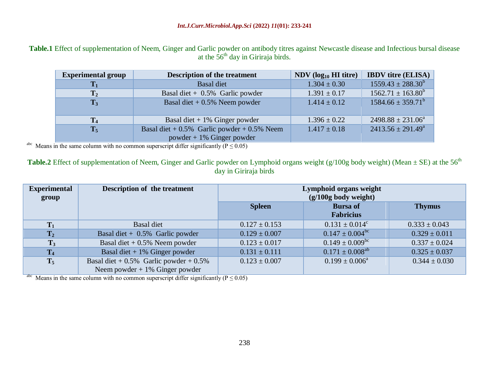Table.1 Effect of supplementation of Neem, Ginger and Garlic powder on antibody titres against Newcastle disease and Infectious bursal disease at the  $56<sup>th</sup>$  day in Giriraja birds.

|                                                                                                          | <b>Experimental group</b> | <b>Description of the treatment</b>               | $NDV$ (log <sub>10</sub> HI titre) | <b>IBDV</b> titre (ELISA)    |  |  |
|----------------------------------------------------------------------------------------------------------|---------------------------|---------------------------------------------------|------------------------------------|------------------------------|--|--|
|                                                                                                          | $\mathbf{T}_1$            | <b>Basal diet</b>                                 | $1.304 \pm 0.30$                   | $1559.43 \pm 288.30^b$       |  |  |
|                                                                                                          | $\bf T_2$                 | Basal diet + $0.5\%$ Garlic powder                | $1.391 \pm 0.17$                   | $1562.71 \pm 163.80^b$       |  |  |
|                                                                                                          | $T_3$                     | Basal diet $+0.5\%$ Neem powder                   | $1.414 \pm 0.12$                   | $1584.66 \pm 359.71^b$       |  |  |
|                                                                                                          |                           |                                                   |                                    |                              |  |  |
|                                                                                                          | T <sub>4</sub>            | Basal diet $+1\%$ Ginger powder                   | $1.396 \pm 0.22$                   | $2498.88 \pm 231.06^{\circ}$ |  |  |
|                                                                                                          | $T_5$                     | Basal diet + $0.5\%$ Garlic powder + $0.5\%$ Neem | $1.417 \pm 0.18$                   | $2413.56 \pm 291.49^a$       |  |  |
|                                                                                                          |                           | $powder + 1\%$ Ginger powder                      |                                    |                              |  |  |
| <sup>abc</sup> Means in the same column with no common superscript differ significantly ( $P \le 0.05$ ) |                           |                                                   |                                    |                              |  |  |

**Table.2** Effect of supplementation of Neem, Ginger and Garlic powder on Lymphoid organs weight (g/100g body weight) (Mean  $\pm$  SE) at the 56<sup>th</sup> day in Giriraja birds

| <b>Experimental</b><br>group                                                                             | Description of the treatment                 | Lymphoid organs weight<br>$(g/100g$ body weight) |                                     |                   |  |  |
|----------------------------------------------------------------------------------------------------------|----------------------------------------------|--------------------------------------------------|-------------------------------------|-------------------|--|--|
|                                                                                                          |                                              | <b>Spleen</b>                                    | <b>Bursa of</b><br><b>Fabricius</b> | <b>Thymus</b>     |  |  |
| $T_1$                                                                                                    | <b>Basal diet</b>                            | $0.127 \pm 0.153$                                | $0.131 \pm 0.014^c$                 | $0.333 \pm 0.043$ |  |  |
| $T_2$                                                                                                    | Basal diet + $0.5\%$ Garlic powder           | $0.129 \pm 0.007$                                | $0.147 \pm 0.004^{bc}$              | $0.329 \pm 0.011$ |  |  |
| $T_3$                                                                                                    | Basal diet $+0.5\%$ Neem powder              | $0.123 \pm 0.017$                                | $0.149 \pm 0.009^{bc}$              | $0.337 \pm 0.024$ |  |  |
| $T_4$                                                                                                    | Basal diet $+1\%$ Ginger powder              | $0.131 \pm 0.111$                                | $0.171 \pm 0.008^{ab}$              | $0.325 \pm 0.037$ |  |  |
| $T_5$                                                                                                    | Basal diet + $0.5\%$ Garlic powder + $0.5\%$ | $0.123 \pm 0.007$                                | $0.199 \pm 0.006^{\circ}$           | $0.344 \pm 0.030$ |  |  |
|                                                                                                          | Neem powder $+1\%$ Ginger powder             |                                                  |                                     |                   |  |  |
| <sup>abc</sup> Means in the same column with no common superscript differ significantly ( $P \le 0.05$ ) |                                              |                                                  |                                     |                   |  |  |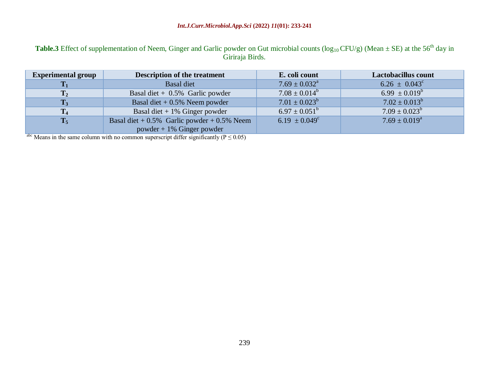# **Table.3** Effect of supplementation of Neem, Ginger and Garlic powder on Gut microbial counts ( $log_{10}$ CFU/g) (Mean  $\pm$  SE) at the 56<sup>th</sup> day in Giriraja Birds.

| <b>Experimental group</b> | <b>Description of the treatment</b>               | E. coli count                 | Lactobacillus count      |
|---------------------------|---------------------------------------------------|-------------------------------|--------------------------|
| $\mathbf{T_{1}}$          | Basal diet                                        | $7.69 \pm 0.032$ <sup>a</sup> | $6.26 \pm 0.043^{\circ}$ |
| $T_2$                     | Basal diet + $0.5\%$ Garlic powder                | $7.08 \pm 0.014^b$            | $6.99 \pm 0.019^b$       |
| $T_3$                     | Basal diet $+0.5\%$ Neem powder                   | $7.01 \pm 0.023^b$            | $7.02 \pm 0.013^b$       |
| T <sub>4</sub>            | Basal diet $+1\%$ Ginger powder                   | $6.97 \pm 0.051^{\circ}$      | $7.09 \pm 0.023^b$       |
| $T_5$                     | Basal diet + $0.5\%$ Garlic powder + $0.5\%$ Neem | $6.19 \pm 0.049^c$            | $7.69 \pm 0.019^a$       |
|                           | powder + $1\%$ Ginger powder                      |                               |                          |

abc Means in the same column with no common superscript differ significantly ( $P \le 0.05$ )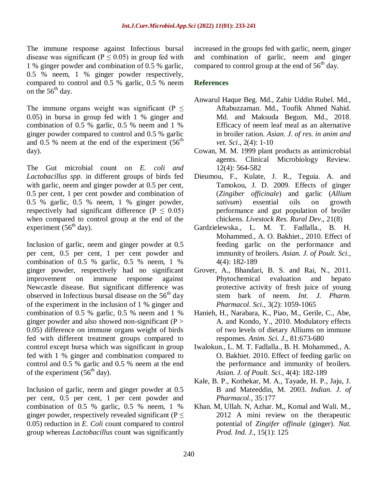The immune response against Infectious bursal disease was significant ( $P \le 0.05$ ) in group fed with 1 % ginger powder and combination of 0.5 % garlic, 0.5 % neem, 1 % ginger powder respectively, compared to control and 0.5 % garlic, 0.5 % neem on the  $56<sup>th</sup>$  day.

The immune organs weight was significant ( $P \leq$ 0.05) in bursa in group fed with 1 % ginger and combination of 0.5 % garlic, 0.5 % neem and 1 % ginger powder compared to control and 0.5 % garlic and 0.5 % neem at the end of the experiment  $(56<sup>th</sup>$ day).

The Gut microbial count on *E. coli and Lactobacillus spp.* in different groups of birds fed with garlic, neem and ginger powder at 0.5 per cent, 0.5 per cent, 1 per cent powder and combination of 0.5 % garlic, 0.5 % neem, 1 % ginger powder, respectively had significant difference ( $P \le 0.05$ ) when compared to control group at the end of the experiment  $(56<sup>th</sup>$  day).

Inclusion of garlic, neem and ginger powder at 0.5 per cent, 0.5 per cent, 1 per cent powder and combination of 0.5 % garlic, 0.5 % neem, 1 % ginger powder, respectively had no significant improvement on immune response against Newcastle disease. But significant difference was observed in Infectious bursal disease on the  $56<sup>th</sup>$  day of the experiment in the inclusion of 1 % ginger and combination of 0.5 % garlic, 0.5 % neem and 1 % ginger powder and also showed non-significant ( $P >$ 0.05) difference on immune organs weight of birds fed with different treatment groups compared to control except bursa which was significant in group fed with 1 % ginger and combination compared to control and 0.5 % garlic and 0.5 % neem at the end of the experiment  $(56<sup>th</sup>$  day).

Inclusion of garlic, neem and ginger powder at 0.5 per cent, 0.5 per cent, 1 per cent powder and combination of 0.5 % garlic, 0.5 % neem, 1 % ginger powder, respectively revealed significant ( $P \leq$ 0.05) reduction in *E. Coli* count compared to control group whereas *Lactobacillus* count was significantly

increased in the groups fed with garlic, neem, ginger and combination of garlic, neem and ginger compared to control group at the end of  $56<sup>th</sup>$  day.

## **References**

- Anwarul Haque Beg. Md., Zahir Uddin Rubel. Md., Aftabuzzaman. Md., Toufik Ahmed Nahid. Md. and Maksuda Begum. Md., 2018. Efficacy of neem leaf meal as an alternative in broiler ration. *Asian. J. of res. in anim and vet. Sci*., 2(4): 1-10
- Cowan, M. M. 1999 plant products as antimicrobial agents. Clinical Microbiology Review. 12(4): 564-582
- Dieumou, F., Kulate, J. R., Teguia. A. and Tamokou, J. D. 2009. Effects of ginger (*Zingiber officinale*) and garlic (*Allium sativum*) essential oils on growth performance and gut population of broiler chickens. *Livestock Res. Rural Dev*., 21(8)
- Gardzielewska., L. M. T. Fadlalla., B. H. Mohammed., A. O. Bakhiet., 2010. Effect of feeding garlic on the performance and immunity of broilers. *Asian. J. of Poult. Sci.,* 4(4): 182-189
- Grover, A., Bhandari, B. S. and Rai, N., 2011. Phytochemical evaluation and hepato protective activity of fresh juice of young stem bark of neem. *Int. J. Pharm. Pharmacol. Sci.*, 3(2): 1059-1065
- Hanieh, H., Narabara, K., Piao, M., Gerile, C., Abe, A. and Kondo, Y., 2010. Modulatory effects of two levels of dietary Alliums on immune responses. *Anim. Sci. J.*, 81:673-680
- Iwalokun., L. M. T. Fadlalla., B. H. Mohammed., A. O. Bakhiet. 2010. Effect of feeding garlic on the performance and immunity of broilers. *Asian. J. of Poult. Sci*., 4(4): 182-189
- Kale, B. P., Kothekar, M. A., Tayade, H. P., Jaju, J. B and Mateeddin, M. 2003. *Indian. J. of Pharmacol.*, 35:177
- Khan. M, Ullah. N, Azhar. M,, Komal and Wali. M., 2012 A mini review on the therapeutic potential of *Zingifer offinale* (ginger). *Nat. Prod. Ind. J*., 15(1): 125